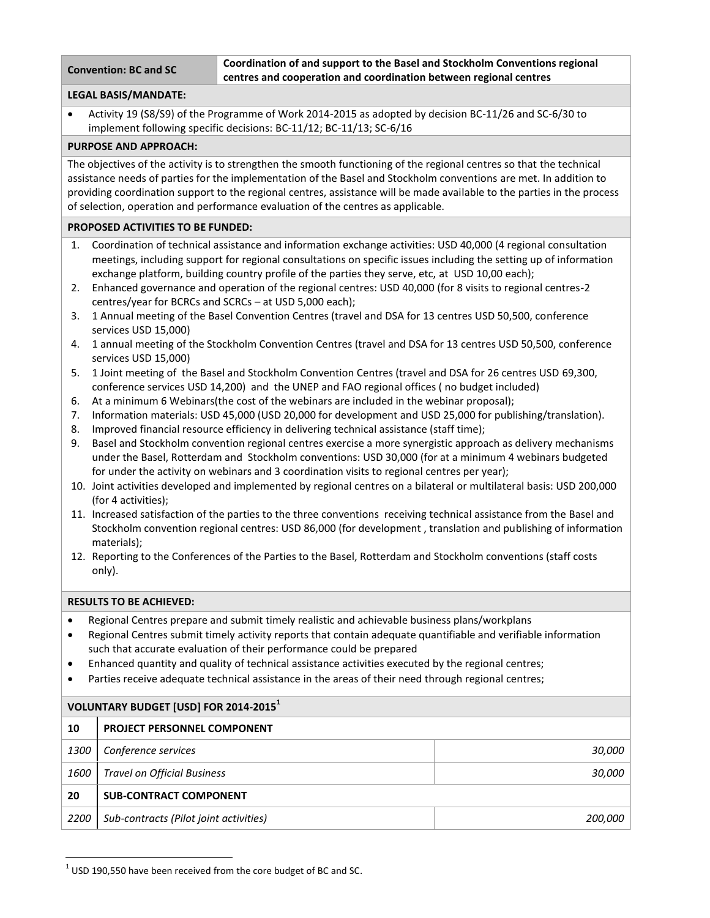**Convention: BC and SC Coordination of and support to the Basel and Stockholm Conventions regional centres and cooperation and coordination between regional centres**

# **LEGAL BASIS/MANDATE:**

 Activity 19 (S8/S9) of the Programme of Work 2014-2015 as adopted by decision BC-11/26 and SC-6/30 to implement following specific decisions: BC-11/12; BC-11/13; SC-6/16

# **PURPOSE AND APPROACH:**

The objectives of the activity is to strengthen the smooth functioning of the regional centres so that the technical assistance needs of parties for the implementation of the Basel and Stockholm conventions are met. In addition to providing coordination support to the regional centres, assistance will be made available to the parties in the process of selection, operation and performance evaluation of the centres as applicable.

# **PROPOSED ACTIVITIES TO BE FUNDED:**

- 1. Coordination of technical assistance and information exchange activities: USD 40,000 (4 regional consultation meetings, including support for regional consultations on specific issues including the setting up of information exchange platform, building country profile of the parties they serve, etc, at USD 10,00 each);
- 2. Enhanced governance and operation of the regional centres: USD 40,000 (for 8 visits to regional centres-2 centres/year for BCRCs and SCRCs – at USD 5,000 each);
- 3. 1 Annual meeting of the Basel Convention Centres (travel and DSA for 13 centres USD 50,500, conference services USD 15,000)
- 4. 1 annual meeting of the Stockholm Convention Centres (travel and DSA for 13 centres USD 50,500, conference services USD 15,000)
- 5. 1 Joint meeting of the Basel and Stockholm Convention Centres (travel and DSA for 26 centres USD 69,300, conference services USD 14,200) and the UNEP and FAO regional offices ( no budget included)
- 6. At a minimum 6 Webinars(the cost of the webinars are included in the webinar proposal);
- 7. Information materials: USD 45,000 (USD 20,000 for development and USD 25,000 for publishing/translation).
- 8. Improved financial resource efficiency in delivering technical assistance (staff time);
- 9. Basel and Stockholm convention regional centres exercise a more synergistic approach as delivery mechanisms under the Basel, Rotterdam and Stockholm conventions: USD 30,000 (for at a minimum 4 webinars budgeted for under the activity on webinars and 3 coordination visits to regional centres per year);
- 10. Joint activities developed and implemented by regional centres on a bilateral or multilateral basis: USD 200,000 (for 4 activities);
- 11. Increased satisfaction of the parties to the three conventions receiving technical assistance from the Basel and Stockholm convention regional centres: USD 86,000 (for development , translation and publishing of information materials);
- 12. Reporting to the Conferences of the Parties to the Basel, Rotterdam and Stockholm conventions (staff costs only).

## **RESULTS TO BE ACHIEVED:**

 $\overline{\phantom{a}}$ 

- Regional Centres prepare and submit timely realistic and achievable business plans/workplans
- Regional Centres submit timely activity reports that contain adequate quantifiable and verifiable information such that accurate evaluation of their performance could be prepared
- Enhanced quantity and quality of technical assistance activities executed by the regional centres;
- Parties receive adequate technical assistance in the areas of their need through regional centres;

| VOLUNTARY BUDGET [USD] FOR 2014-2015 <sup>1</sup> |                                        |         |  |
|---------------------------------------------------|----------------------------------------|---------|--|
| 10                                                | <b>PROJECT PERSONNEL COMPONENT</b>     |         |  |
| <i>1300</i>                                       | Conference services                    | 30,000  |  |
| 1600                                              | <b>Travel on Official Business</b>     | 30,000  |  |
| 20                                                | <b>SUB-CONTRACT COMPONENT</b>          |         |  |
| 2200                                              | Sub-contracts (Pilot joint activities) | 200,000 |  |

 $1$  USD 190,550 have been received from the core budget of BC and SC.